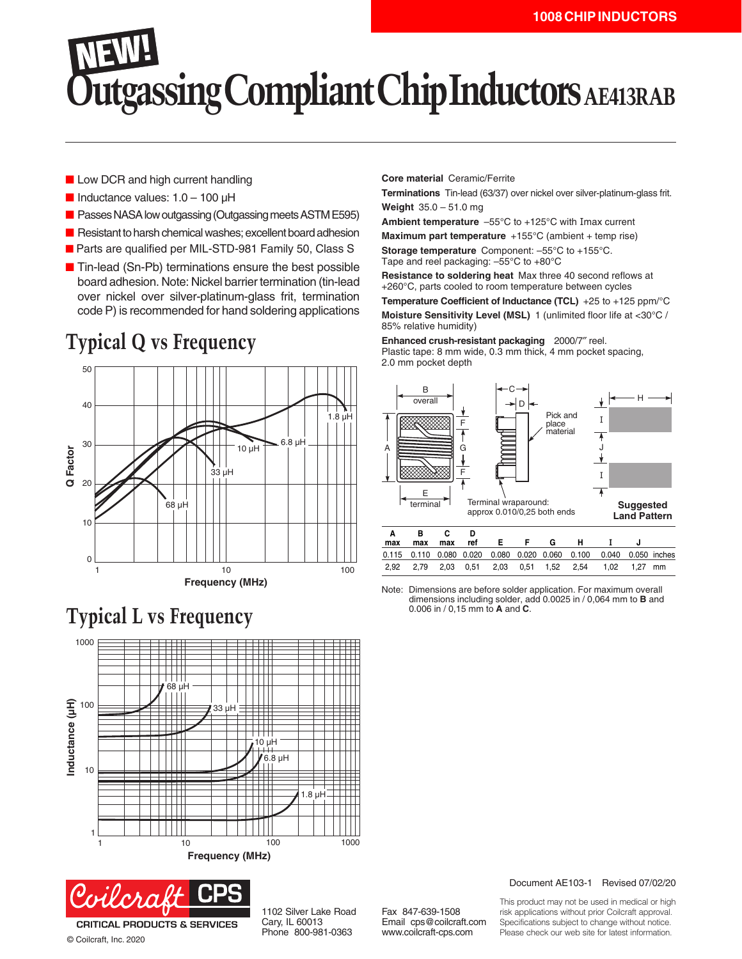## **Utgassing Compliant Chip Inductors AE413RAB**

- Low DCR and high current handling
- $\blacksquare$  Inductance values: 1.0 100 µH
- Passes NASA low outgassing (Outgassing meets ASTM E595)
- Resistant to harsh chemical washes; excellent board adhesion
- Parts are qualified per MIL-STD-981 Family 50, Class S
- Tin-lead (Sn-Pb) terminations ensure the best possible board adhesion. Note: Nickel barrier termination (tin-lead over nickel over silver-platinum-glass frit, termination code P) is recommended for hand soldering applications

## **Typical Q vs Frequency**







© Coilcraft, Inc. 2020

1102 Silver Lake Road Cary, IL 60013 Phone 800-981-0363

Fax 847-639-1508 Email cps@coilcraft.com www.coilcraft-cps.com

**Core material** Ceramic/Ferrite

**Terminations** Tin-lead (63/37) over nickel over silver-platinum-glass frit. **Weight** 35.0 – 51.0 mg

**Ambient temperature** –55°C to +125°C with Imax current

**Maximum part temperature** +155°C (ambient + temp rise) **Storage temperature** Component: –55°C to +155°C. Tape and reel packaging: –55°C to +80°C

**Resistance to soldering heat** Max three 40 second reflows at +260°C, parts cooled to room temperature between cycles **Temperature Coefficient of Inductance (TCL)** +25 to +125 ppm/°C **Moisture Sensitivity Level (MSL)** 1 (unlimited floor life at <30°C / 85% relative humidity)

**Enhanced crush-resistant packaging** 2000/7″ reel.

Plastic tape: 8 mm wide, 0.3 mm thick, 4 mm pocket spacing, 2.0 mm pocket depth



Note: Dimensions are before solder application. For maximum overall dimensions including solder, add 0.0025 in / 0,064 mm to **B** and 0.006 in / 0,15 mm to **A** and **C**.

Document AE103-1 Revised 07/02/20

This product may not be used in medical or high risk applications without prior Coilcraft approval. Specifications subject to change without notice. Please check our web site for latest information.